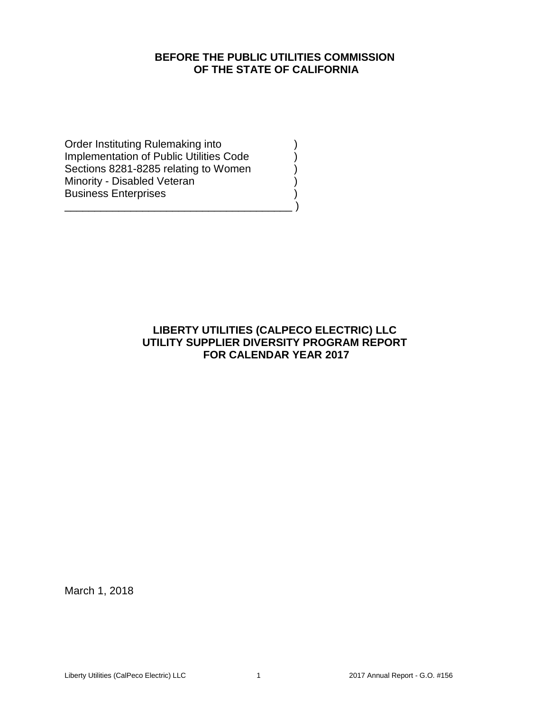# **BEFORE THE PUBLIC UTILITIES COMMISSION OF THE STATE OF CALIFORNIA**

Order Instituting Rulemaking into ) Implementation of Public Utilities Code Sections 8281-8285 relating to Women Minority - Disabled Veteran (1999) Business Enterprises )

\_\_\_\_\_\_\_\_\_\_\_\_\_\_\_\_\_\_\_\_\_\_\_\_\_\_\_\_\_\_\_\_\_\_\_\_\_\_ )

# **LIBERTY UTILITIES (CALPECO ELECTRIC) LLC UTILITY SUPPLIER DIVERSITY PROGRAM REPORT FOR CALENDAR YEAR 2017**

March 1, 2018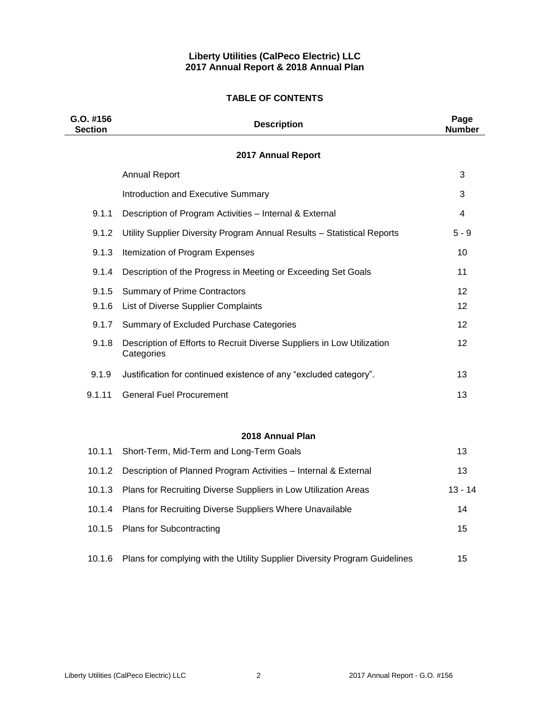### **Liberty Utilities (CalPeco Electric) LLC 2017 Annual Report & 2018 Annual Plan**

## **TABLE OF CONTENTS**

| G.O. #156<br><b>Section</b> | <b>Description</b>                                                                   | Page<br><b>Number</b> |
|-----------------------------|--------------------------------------------------------------------------------------|-----------------------|
|                             | 2017 Annual Report                                                                   |                       |
|                             | <b>Annual Report</b>                                                                 | 3                     |
|                             | Introduction and Executive Summary                                                   | 3                     |
| 9.1.1                       | Description of Program Activities - Internal & External                              | 4                     |
| 9.1.2                       | Utility Supplier Diversity Program Annual Results - Statistical Reports              | $5 - 9$               |
| 9.1.3                       | Itemization of Program Expenses                                                      | 10                    |
| 9.1.4                       | Description of the Progress in Meeting or Exceeding Set Goals                        | 11                    |
| 9.1.5                       | <b>Summary of Prime Contractors</b>                                                  | 12                    |
| 9.1.6                       | List of Diverse Supplier Complaints                                                  | $12 \overline{ }$     |
| 9.1.7                       | Summary of Excluded Purchase Categories                                              | $12 \overline{ }$     |
| 9.1.8                       | Description of Efforts to Recruit Diverse Suppliers in Low Utilization<br>Categories | $12 \overline{ }$     |
| 9.1.9                       | Justification for continued existence of any "excluded category".                    | 13                    |
| 9.1.11                      | <b>General Fuel Procurement</b>                                                      | 13                    |
|                             |                                                                                      |                       |
|                             | 2018 Annual Plan                                                                     |                       |
| 10.1.1                      | Short-Term, Mid-Term and Long-Term Goals                                             | 13                    |
| 10.1.2                      | Description of Planned Program Activities - Internal & External                      | 13                    |
| 10.1.3                      | Plans for Recruiting Diverse Suppliers in Low Utilization Areas                      | $13 - 14$             |
| 10.1.4                      | Plans for Recruiting Diverse Suppliers Where Unavailable                             | 14                    |
| 10.1.5                      | <b>Plans for Subcontracting</b>                                                      | 15                    |
| 10.1.6                      | Plans for complying with the Utility Supplier Diversity Program Guidelines           | 15                    |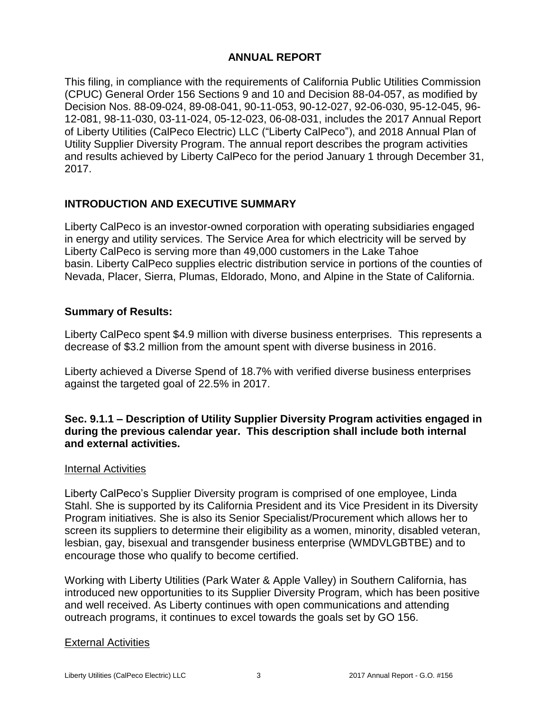# **ANNUAL REPORT**

This filing, in compliance with the requirements of California Public Utilities Commission (CPUC) General Order 156 Sections 9 and 10 and Decision 88-04-057, as modified by Decision Nos. 88-09-024, 89-08-041, 90-11-053, 90-12-027, 92-06-030, 95-12-045, 96- 12-081, 98-11-030, 03-11-024, 05-12-023, 06-08-031, includes the 2017 Annual Report of Liberty Utilities (CalPeco Electric) LLC ("Liberty CalPeco"), and 2018 Annual Plan of Utility Supplier Diversity Program. The annual report describes the program activities and results achieved by Liberty CalPeco for the period January 1 through December 31, 2017.

# **INTRODUCTION AND EXECUTIVE SUMMARY**

Liberty CalPeco is an investor-owned corporation with operating subsidiaries engaged in energy and utility services. The Service Area for which electricity will be served by Liberty CalPeco is serving more than 49,000 customers in the Lake Tahoe basin. Liberty CalPeco supplies electric distribution service in portions of the counties of Nevada, Placer, Sierra, Plumas, Eldorado, Mono, and Alpine in the State of California.

# **Summary of Results:**

Liberty CalPeco spent \$4.9 million with diverse business enterprises. This represents a decrease of \$3.2 million from the amount spent with diverse business in 2016.

Liberty achieved a Diverse Spend of 18.7% with verified diverse business enterprises against the targeted goal of 22.5% in 2017.

**Sec. 9.1.1 – Description of Utility Supplier Diversity Program activities engaged in during the previous calendar year. This description shall include both internal and external activities.** 

# Internal Activities

Liberty CalPeco's Supplier Diversity program is comprised of one employee, Linda Stahl. She is supported by its California President and its Vice President in its Diversity Program initiatives. She is also its Senior Specialist/Procurement which allows her to screen its suppliers to determine their eligibility as a women, minority, disabled veteran, lesbian, gay, bisexual and transgender business enterprise (WMDVLGBTBE) and to encourage those who qualify to become certified.

Working with Liberty Utilities (Park Water & Apple Valley) in Southern California, has introduced new opportunities to its Supplier Diversity Program, which has been positive and well received. As Liberty continues with open communications and attending outreach programs, it continues to excel towards the goals set by GO 156.

# External Activities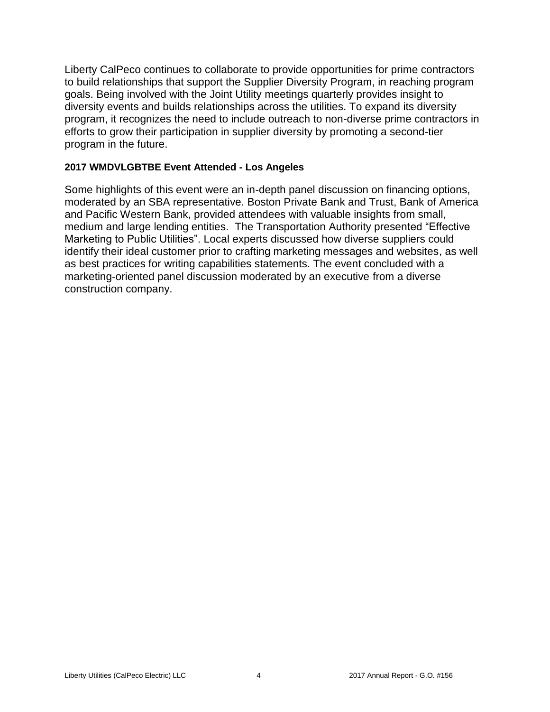Liberty CalPeco continues to collaborate to provide opportunities for prime contractors to build relationships that support the Supplier Diversity Program, in reaching program goals. Being involved with the Joint Utility meetings quarterly provides insight to diversity events and builds relationships across the utilities. To expand its diversity program, it recognizes the need to include outreach to non-diverse prime contractors in efforts to grow their participation in supplier diversity by promoting a second-tier program in the future.

# **2017 WMDVLGBTBE Event Attended - Los Angeles**

Some highlights of this event were an in-depth panel discussion on financing options, moderated by an SBA representative. Boston Private Bank and Trust, Bank of America and Pacific Western Bank, provided attendees with valuable insights from small, medium and large lending entities. The Transportation Authority presented "Effective Marketing to Public Utilities". Local experts discussed how diverse suppliers could identify their ideal customer prior to crafting marketing messages and websites, as well as best practices for writing capabilities statements. The event concluded with a marketing-oriented panel discussion moderated by an executive from a diverse construction company.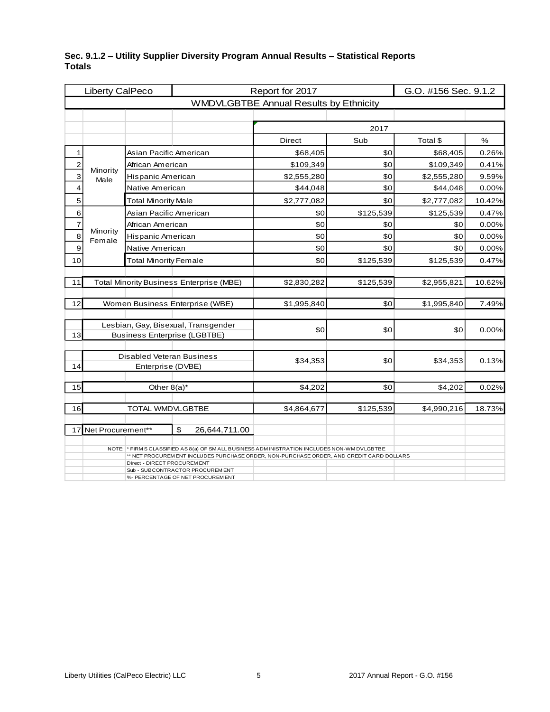|                         | Liberty CalPeco      |                                  |                                                                                                                                                                                          | Report for 2017                               |           | G.O. #156 Sec. 9.1.2 |        |  |
|-------------------------|----------------------|----------------------------------|------------------------------------------------------------------------------------------------------------------------------------------------------------------------------------------|-----------------------------------------------|-----------|----------------------|--------|--|
|                         |                      |                                  |                                                                                                                                                                                          | <b>WMDVLGBTBE Annual Results by Ethnicity</b> |           |                      |        |  |
|                         |                      |                                  |                                                                                                                                                                                          |                                               |           |                      |        |  |
|                         |                      |                                  |                                                                                                                                                                                          |                                               | 2017      |                      |        |  |
|                         |                      |                                  |                                                                                                                                                                                          | <b>Direct</b>                                 | Sub       | Total \$             | $\%$   |  |
| 1                       |                      | Asian Pacific American           |                                                                                                                                                                                          | \$68,405                                      | \$0       | \$68,405             | 0.26%  |  |
| $\overline{\mathbf{c}}$ | Minority             | African American                 |                                                                                                                                                                                          | \$109,349                                     | \$0       | \$109,349            | 0.41%  |  |
| 3                       | Male                 | Hispanic American                |                                                                                                                                                                                          | \$2,555,280                                   | \$0       | \$2,555,280          | 9.59%  |  |
| 4                       |                      | Native American                  |                                                                                                                                                                                          | \$44,048                                      | \$0       | \$44,048             | 0.00%  |  |
| 5                       |                      | <b>Total Minority Male</b>       |                                                                                                                                                                                          | \$2,777,082                                   | \$0       | \$2,777,082          | 10.42% |  |
| 6                       |                      | Asian Pacific American           |                                                                                                                                                                                          | \$0                                           | \$125,539 | \$125,539            | 0.47%  |  |
| $\overline{7}$          |                      | African American                 |                                                                                                                                                                                          | \$0                                           | \$0       | \$0                  | 0.00%  |  |
| $\overline{8}$          | Minority<br>Female   | Hispanic American                |                                                                                                                                                                                          | \$0                                           | \$0       | \$0                  | 0.00%  |  |
| 9                       |                      | Native American<br>\$0<br>\$0    |                                                                                                                                                                                          |                                               |           |                      | 0.00%  |  |
| 10                      |                      | <b>Total Minority Female</b>     |                                                                                                                                                                                          | \$0                                           | \$125,539 | \$125,539            | 0.47%  |  |
|                         |                      |                                  |                                                                                                                                                                                          |                                               |           |                      |        |  |
| 11                      |                      |                                  | <b>Total Minority Business Enterprise (MBE)</b>                                                                                                                                          | \$2,830,282                                   | \$125,539 | \$2,955,821          | 10.62% |  |
|                         |                      |                                  |                                                                                                                                                                                          |                                               |           |                      |        |  |
| 12                      |                      |                                  | Women Business Enterprise (WBE)                                                                                                                                                          | \$1,995,840                                   | \$0       | \$1,995,840          | 7.49%  |  |
|                         |                      |                                  | Lesbian, Gay, Bisexual, Transgender                                                                                                                                                      |                                               |           |                      |        |  |
| 13                      |                      |                                  | <b>Business Enterprise (LGBTBE)</b>                                                                                                                                                      | \$0                                           | \$0       | \$0                  | 0.00%  |  |
|                         |                      |                                  |                                                                                                                                                                                          |                                               |           |                      |        |  |
|                         |                      | <b>Disabled Veteran Business</b> |                                                                                                                                                                                          | \$34,353                                      | \$0       | \$34,353             | 0.13%  |  |
| 14                      |                      | Enterprise (DVBE)                |                                                                                                                                                                                          |                                               |           |                      |        |  |
| 15                      |                      |                                  |                                                                                                                                                                                          |                                               | \$0       |                      |        |  |
|                         |                      | Other $8(a)^*$                   |                                                                                                                                                                                          | \$4,202                                       |           | \$4,202              | 0.02%  |  |
| 16                      |                      | TOTAL WMDVLGBTBE                 |                                                                                                                                                                                          | \$4,864,677                                   | \$125,539 | \$4,990,216          | 18.73% |  |
|                         |                      |                                  |                                                                                                                                                                                          |                                               |           |                      |        |  |
|                         | 17 Net Procurement** |                                  | \$<br>26,644,711.00                                                                                                                                                                      |                                               |           |                      |        |  |
|                         |                      |                                  |                                                                                                                                                                                          |                                               |           |                      |        |  |
|                         |                      |                                  | NOTE: * FIRM S CLASSIFIED AS 8(a) OF SMALL BUSINESS ADM INISTRATION INCLUDES NON-WM DVLGBTBE<br>** NET PROCUREM ENT INCLUDES PURCHASE ORDER, NON-PURCHASE ORDER, AND CREDIT CARD DOLLARS |                                               |           |                      |        |  |
|                         |                      | Direct - DIRECT PROCUREM ENT     | Sub - SUBCONTRACTOR PROCUREMENT                                                                                                                                                          |                                               |           |                      |        |  |
|                         |                      |                                  | %- PERCENTAGE OF NET PROCUREM ENT                                                                                                                                                        |                                               |           |                      |        |  |

## **Sec. 9.1.2 – Utility Supplier Diversity Program Annual Results – Statistical Reports Totals**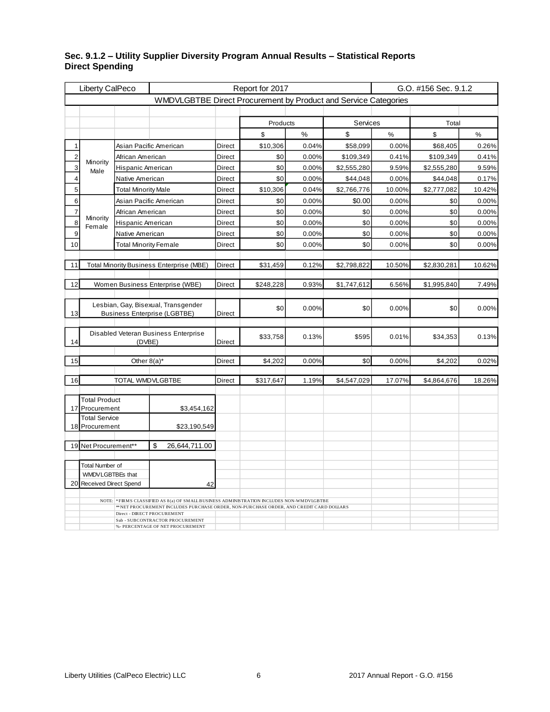| Liberty CalPeco |                                     |                              |                                                                                                                      |               | Report for 2017 |       |             | G.O. #156 Sec. 9.1.2 |             |        |  |  |
|-----------------|-------------------------------------|------------------------------|----------------------------------------------------------------------------------------------------------------------|---------------|-----------------|-------|-------------|----------------------|-------------|--------|--|--|
|                 |                                     |                              | WMDVLGBTBE Direct Procurement by Product and Service Categories                                                      |               |                 |       |             |                      |             |        |  |  |
|                 |                                     |                              |                                                                                                                      |               |                 |       |             |                      |             |        |  |  |
|                 |                                     |                              |                                                                                                                      |               | Products        |       | Services    |                      | Total       |        |  |  |
|                 |                                     |                              |                                                                                                                      |               | \$              | $\%$  | \$          | $\%$                 | \$          | $\%$   |  |  |
| 1               |                                     |                              | Asian Pacific American                                                                                               | Direct        | \$10,306        | 0.04% | \$58,099    | 0.00%                | \$68,405    | 0.26%  |  |  |
| 2               |                                     | African American             |                                                                                                                      | Direct        | \$0             | 0.00% | \$109,349   | 0.41%                | \$109,349   | 0.41%  |  |  |
| 3               | Minority<br>Male                    | Hispanic American            |                                                                                                                      | <b>Direct</b> | \$0             | 0.00% | \$2,555,280 | 9.59%                | \$2,555,280 | 9.59%  |  |  |
| $\overline{4}$  |                                     | Native American              |                                                                                                                      | Direct        | \$0             | 0.00% | \$44,048    | 0.00%                | \$44,048    | 0.17%  |  |  |
| 5               |                                     | <b>Total Minority Male</b>   |                                                                                                                      | Direct        | \$10,306        | 0.04% | \$2,766,776 | 10.00%               | \$2,777,082 | 10.42% |  |  |
| 6               |                                     |                              | Asian Pacific American                                                                                               | Direct        | \$0             | 0.00% | \$0.00      | 0.00%                | \$0         | 0.00%  |  |  |
| $\overline{7}$  |                                     | African American             |                                                                                                                      | Direct        | \$0             | 0.00% | \$0         | 0.00%                | \$0         | 0.00%  |  |  |
| 8               | Minority<br>Female                  | Hispanic American            |                                                                                                                      | Direct        | \$0             | 0.00% | \$0         | 0.00%                | \$0         | 0.00%  |  |  |
| 9               |                                     | Native American              |                                                                                                                      | <b>Direct</b> | \$0             | 0.00% | \$0         | 0.00%                | \$0         | 0.00%  |  |  |
| 10              |                                     | <b>Total Minority Female</b> |                                                                                                                      | Direct        | \$0             | 0.00% | \$0         | 0.00%                | \$0         | 0.00%  |  |  |
|                 |                                     |                              |                                                                                                                      |               |                 |       |             |                      |             |        |  |  |
| 11              |                                     |                              | <b>Total Minority Business Enterprise (MBE)</b>                                                                      | Direct        | \$31,459        | 0.12% | \$2,798,822 | 10.50%               | \$2,830,281 | 10.62% |  |  |
|                 |                                     |                              |                                                                                                                      |               |                 |       |             |                      |             |        |  |  |
| 12              |                                     |                              | Women Business Enterprise (WBE)                                                                                      | Direct        | \$248,228       | 0.93% | \$1,747,612 | 6.56%                | \$1,995,840 | 7.49%  |  |  |
|                 |                                     |                              | Lesbian, Gay, Bisexual, Transgender                                                                                  |               |                 |       |             |                      |             |        |  |  |
| 13              |                                     |                              | <b>Business Enterprise (LGBTBE)</b>                                                                                  | Direct        | \$0             | 0.00% | \$0         | 0.00%                | \$0         | 0.00%  |  |  |
|                 |                                     |                              |                                                                                                                      |               |                 |       |             |                      |             |        |  |  |
|                 |                                     |                              | Disabled Veteran Business Enterprise                                                                                 |               | \$33,758        | 0.13% | \$595       | 0.01%                | \$34,353    | 0.13%  |  |  |
| 14              |                                     | (DVBE)                       |                                                                                                                      | <b>Direct</b> |                 |       |             |                      |             |        |  |  |
| 15              |                                     |                              |                                                                                                                      | <b>Direct</b> | \$4,202         | 0.00% | \$0         | 0.00%                |             | 0.02%  |  |  |
|                 |                                     | Other $8(a)^*$               |                                                                                                                      |               |                 |       |             |                      | \$4,202     |        |  |  |
| 16              |                                     | TOTAL WMDVLGBTBE             |                                                                                                                      | Direct        | \$317,647       | 1.19% | \$4,547,029 | 17.07%               | \$4,864,676 | 18.26% |  |  |
|                 |                                     |                              |                                                                                                                      |               |                 |       |             |                      |             |        |  |  |
|                 | <b>Total Product</b>                |                              |                                                                                                                      |               |                 |       |             |                      |             |        |  |  |
| 17              | Procurement                         |                              | \$3,454,162                                                                                                          |               |                 |       |             |                      |             |        |  |  |
| 18              | <b>Total Service</b><br>Procurement |                              | \$23,190,549                                                                                                         |               |                 |       |             |                      |             |        |  |  |
|                 |                                     |                              |                                                                                                                      |               |                 |       |             |                      |             |        |  |  |
| 19              | Net Procurement**                   |                              | \$<br>26,644,711.00                                                                                                  |               |                 |       |             |                      |             |        |  |  |
|                 |                                     |                              |                                                                                                                      |               |                 |       |             |                      |             |        |  |  |
|                 | <b>Total Number of</b>              |                              |                                                                                                                      |               |                 |       |             |                      |             |        |  |  |
|                 | WMDVLGBTBEs that                    |                              |                                                                                                                      |               |                 |       |             |                      |             |        |  |  |
| 20              | <b>Received Direct Spend</b>        |                              | 42                                                                                                                   |               |                 |       |             |                      |             |        |  |  |
|                 |                                     |                              | NOTE: * FIRMS CLASSIFIED AS 8(a) OF SMALLBUSINESS ADMINISTRATION INCLUDES NON-WMDVLGBTBE                             |               |                 |       |             |                      |             |        |  |  |
|                 |                                     |                              | *NET PROCUREMENT INCLUDES PURCHASE ORDER, NON-PURCHASE ORDER, AND CREDIT CARD DOLLARS<br>Direct - DIRECT PROCUREMENT |               |                 |       |             |                      |             |        |  |  |
|                 |                                     |                              | Sub - SUBCONTRACTOR PROCUREMENT                                                                                      |               |                 |       |             |                      |             |        |  |  |
|                 |                                     |                              | %- PERCENTAGE OF NET PROCUREMENT                                                                                     |               |                 |       |             |                      |             |        |  |  |

#### **Sec. 9.1.2 – Utility Supplier Diversity Program Annual Results – Statistical Reports Direct Spending**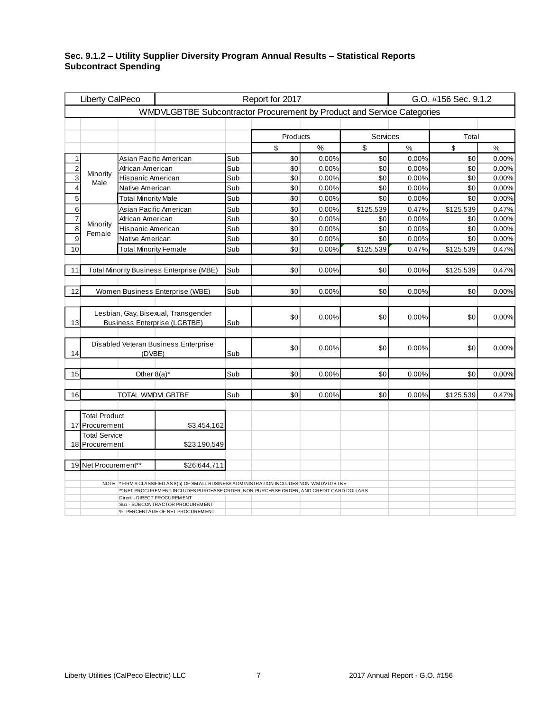#### **Sec. 9.1.2 – Utility Supplier Diversity Program Annual Results – Statistical Reports Subcontract Spending**

|                                                                      | Liberty CalPeco                     |                              |                                                                                              |     | Report for 2017 |               |           | G.O. #156 Sec. 9.1.2 |           |       |  |  |  |
|----------------------------------------------------------------------|-------------------------------------|------------------------------|----------------------------------------------------------------------------------------------|-----|-----------------|---------------|-----------|----------------------|-----------|-------|--|--|--|
|                                                                      |                                     |                              | WMDVLGBTBE Subcontractor Procurement by Product and Service Categories                       |     |                 |               |           |                      |           |       |  |  |  |
|                                                                      |                                     |                              |                                                                                              |     |                 |               |           |                      |           |       |  |  |  |
|                                                                      |                                     |                              |                                                                                              |     | Products        |               | Services  |                      | Total     |       |  |  |  |
|                                                                      |                                     |                              |                                                                                              |     | \$              | $\frac{0}{6}$ | \$        | $\%$                 | \$        | $\%$  |  |  |  |
| 1                                                                    |                                     |                              | Asian Pacific American                                                                       | Sub | \$0             | 0.00%         | \$0       | 0.00%                | \$0       | 0.00% |  |  |  |
| $\overline{\mathbf{c}}$                                              | Minority                            | African American             |                                                                                              | Sub | \$0             | 0.00%         | \$0       | 0.00%                | \$0       | 0.00% |  |  |  |
| 3                                                                    | Male                                | Hispanic American            |                                                                                              | Sub | \$0             | 0.00%         | \$0       | 0.00%                | \$0       | 0.00% |  |  |  |
| $\overline{\mathbf{4}}$                                              |                                     | Native American              |                                                                                              | Sub | \$0             | 0.00%         | \$0       | 0.00%                | \$0       | 0.00% |  |  |  |
| $\overline{5}$                                                       |                                     | <b>Total Minority Male</b>   |                                                                                              | Sub | \$0             | 0.00%         | \$0       | 0.00%                | \$0       | 0.00% |  |  |  |
| 6                                                                    |                                     |                              | Asian Pacific American                                                                       | Sub | \$0             | 0.00%         | \$125,539 | 0.47%                | \$125,539 | 0.47% |  |  |  |
| $\overline{7}$                                                       |                                     | African American             |                                                                                              | Sub | \$0             | 0.00%         | \$0       | 0.00%                | \$0       | 0.00% |  |  |  |
| $\overline{8}$                                                       | Minority                            | Hispanic American            |                                                                                              | Sub | \$0             | 0.00%         | \$0       | 0.00%                | \$0       | 0.00% |  |  |  |
| $\overline{9}$                                                       | Female                              | Native American              |                                                                                              | Sub | \$0             | 0.00%         | \$0       | 0.00%                | \$0       | 0.00% |  |  |  |
| 10                                                                   |                                     | <b>Total Minority Female</b> |                                                                                              | Sub | \$0             | 0.00%         | \$125,539 | 0.47%                | \$125,539 | 0.47% |  |  |  |
|                                                                      |                                     |                              |                                                                                              |     |                 |               |           |                      |           |       |  |  |  |
| 11                                                                   |                                     |                              | Total Minority Business Enterprise (MBE)                                                     | Sub | \$0             | 0.00%         | \$0       | 0.00%                | \$125,539 | 0.47% |  |  |  |
|                                                                      |                                     |                              |                                                                                              |     |                 |               |           |                      |           |       |  |  |  |
| 12                                                                   |                                     |                              | Women Business Enterprise (WBE)                                                              | Sub | \$0             | 0.00%         | \$0       | 0.00%                | \$0       | 0.00% |  |  |  |
|                                                                      |                                     |                              |                                                                                              |     |                 |               |           |                      |           |       |  |  |  |
|                                                                      |                                     |                              | Lesbian, Gay, Bisexual, Transgender                                                          |     |                 |               |           |                      |           |       |  |  |  |
| 13                                                                   |                                     |                              | <b>Business Enterprise (LGBTBE)</b>                                                          | Sub | \$0             | 0.00%         | \$0       | 0.00%                | \$0       | 0.00% |  |  |  |
|                                                                      |                                     |                              |                                                                                              |     |                 |               |           |                      |           |       |  |  |  |
|                                                                      |                                     |                              | Disabled Veteran Business Enterprise                                                         |     |                 |               |           |                      |           |       |  |  |  |
| 14                                                                   |                                     | (DVBE)                       |                                                                                              | Sub | \$0             | 0.00%         | \$0       | 0.00%                | \$0       | 0.00% |  |  |  |
|                                                                      |                                     |                              |                                                                                              |     |                 |               |           |                      |           |       |  |  |  |
| 15                                                                   |                                     | Other $8(a)^*$               |                                                                                              | Sub | \$0             | 0.00%         | \$0       | 0.00%                | \$0       | 0.00% |  |  |  |
|                                                                      |                                     |                              |                                                                                              |     |                 |               |           |                      |           |       |  |  |  |
| 16                                                                   |                                     | TOTAL WMDVLGBTBE             |                                                                                              | Sub | \$0             | 0.00%         | \$0       | 0.00%                | \$125,539 | 0.47% |  |  |  |
|                                                                      |                                     |                              |                                                                                              |     |                 |               |           |                      |           |       |  |  |  |
|                                                                      |                                     |                              |                                                                                              |     |                 |               |           |                      |           |       |  |  |  |
| 17                                                                   | <b>Total Product</b><br>Procurement |                              |                                                                                              |     |                 |               |           |                      |           |       |  |  |  |
|                                                                      |                                     |                              | \$3,454,162                                                                                  |     |                 |               |           |                      |           |       |  |  |  |
| 18                                                                   | <b>Total Service</b><br>Procurement |                              |                                                                                              |     |                 |               |           |                      |           |       |  |  |  |
|                                                                      |                                     |                              | \$23,190,549                                                                                 |     |                 |               |           |                      |           |       |  |  |  |
|                                                                      | 19 Net Procurement**                |                              | \$26,644,711                                                                                 |     |                 |               |           |                      |           |       |  |  |  |
|                                                                      |                                     |                              |                                                                                              |     |                 |               |           |                      |           |       |  |  |  |
|                                                                      |                                     |                              | NOTE: * FIRM S CLASSIFIED AS 8(a) OF SMALL BUSINESS ADM INISTRATION INCLUDES NON-WM DVLGBTBE |     |                 |               |           |                      |           |       |  |  |  |
|                                                                      |                                     |                              | ** NET PROCUREM ENT INCLUDES PURCHASE ORDER, NON-PURCHASE ORDER, AND CREDIT CARD DOLLARS     |     |                 |               |           |                      |           |       |  |  |  |
|                                                                      |                                     |                              | Direct - DIRECT PROCUREMENT                                                                  |     |                 |               |           |                      |           |       |  |  |  |
| Sub - SUBCONTRACTOR PROCUREM ENT<br>%- PERCENTAGE OF NET PROCUREMENT |                                     |                              |                                                                                              |     |                 |               |           |                      |           |       |  |  |  |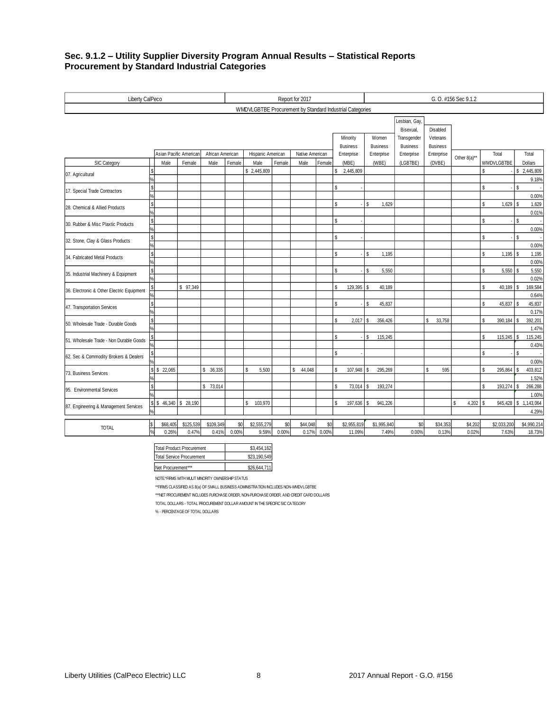#### **Sec. 9.1.2 – Utility Supplier Diversity Program Annual Results – Statistical Reports Procurement by Standard Industrial Categories**

| Liberty CalPeco                           |           |          |                        |                  |                 |                                                          |        | Report for 2017 |        |                                                       |             | G. O. #156 Sec 9.1.2 |             |                          |                      |              |              |    |                          |               |                     |
|-------------------------------------------|-----------|----------|------------------------|------------------|-----------------|----------------------------------------------------------|--------|-----------------|--------|-------------------------------------------------------|-------------|----------------------|-------------|--------------------------|----------------------|--------------|--------------|----|--------------------------|---------------|---------------------|
|                                           |           |          |                        |                  |                 | WMDVLGBTBE Procurement by Standard Industrial Categories |        |                 |        |                                                       |             |                      |             |                          |                      |              |              |    |                          |               |                     |
|                                           |           |          |                        |                  |                 |                                                          |        |                 |        |                                                       |             |                      |             | Lesbian, Gay,            |                      |              |              |    |                          |               |                     |
|                                           |           |          |                        |                  |                 |                                                          |        |                 |        |                                                       | Minority    |                      | Women       | Bisexual,<br>Transgender | Disabled<br>Veterans |              |              |    |                          |               |                     |
|                                           |           |          |                        |                  | <b>Business</b> |                                                          |        |                 |        | <b>Business</b><br><b>Business</b><br><b>Business</b> |             |                      |             |                          |                      |              |              |    |                          |               |                     |
|                                           |           |          | Asian Pacific American | African American |                 | Hispanic American                                        |        | Native American |        |                                                       | Enterprise  |                      | Enterprise  | Enterprise               | Enterprise           | Other 8(a)** |              |    | Total                    |               | Total               |
| SIC Category                              |           | Male     | Female                 | Male             | Female          | Male                                                     | Female | Male            | Female |                                                       | (MBE)       |                      | (WBE)       | (LGBTBE)                 | (DVBE)               |              |              |    | WMDVLGBTBE               |               | <b>Dollars</b>      |
| 07. Agricultural                          |           |          |                        |                  |                 | \$2,445,809                                              |        |                 |        | \$                                                    | 2,445,809   |                      |             |                          |                      |              |              | \$ |                          |               | \$2,445,809         |
|                                           |           |          |                        |                  |                 |                                                          |        |                 |        |                                                       |             |                      |             |                          |                      |              |              |    |                          |               | 9.18%               |
| 17. Special Trade Contractors             | l\$       |          |                        |                  |                 |                                                          |        |                 |        | $\mathbf{\hat{s}}$                                    |             |                      |             |                          |                      |              |              | S. |                          | $\mathsf{s}$  |                     |
|                                           |           |          |                        |                  |                 |                                                          |        |                 |        |                                                       |             |                      |             |                          |                      |              |              |    |                          |               | 0.00%               |
| 28. Chemical & Allied Products            | l\$       |          |                        |                  |                 |                                                          |        |                 |        | \$                                                    |             | \$                   | 1,629       |                          |                      |              |              | s. | $1,629$ \$               |               | 1,629               |
|                                           |           |          |                        |                  |                 |                                                          |        |                 |        |                                                       |             |                      |             |                          |                      |              |              |    |                          |               | 0.01%               |
| 30. Rubber & Misc Plaxtic Products        | l\$<br>l. |          |                        |                  |                 |                                                          |        |                 |        | Ŝ                                                     |             |                      |             |                          |                      |              |              | S  |                          | \$            |                     |
|                                           | ls        |          |                        |                  |                 |                                                          |        |                 |        | S                                                     |             |                      |             |                          |                      |              |              | \$ |                          | s             | 0.00%               |
| 32. Stone, Clay & Glass Products          | l%        |          |                        |                  |                 |                                                          |        |                 |        |                                                       |             |                      |             |                          |                      |              |              |    |                          |               | 0.00%               |
| 34. Fabricated Metal Products             | ls        |          |                        |                  |                 |                                                          |        |                 |        | $\mathbb S$                                           |             | \$                   | 1,195       |                          |                      |              |              | S. | $1,195$ \$               |               | 1,195               |
|                                           |           |          |                        |                  |                 |                                                          |        |                 |        |                                                       |             |                      |             |                          |                      |              |              |    |                          |               | 0.00%               |
|                                           | ls        |          |                        |                  |                 |                                                          |        |                 |        | \$                                                    |             | ${\mathbb S}$        | 5,550       |                          |                      |              |              | S. | 5,550 \$                 |               | 5,550               |
| 35. Industrial Machinery & Equipment      | l%        |          |                        |                  |                 |                                                          |        |                 |        |                                                       |             |                      |             |                          |                      |              |              |    |                          |               | 0.02%               |
|                                           |           |          | \$97,349               |                  |                 |                                                          |        |                 |        | S                                                     | 129,395     | \$                   | 40,189      |                          |                      |              |              | Ŝ  | 40,189 \$                |               | 169,584             |
| 36. Electronic & Other Electric Equipment |           |          |                        |                  |                 |                                                          |        |                 |        |                                                       |             |                      |             |                          |                      |              |              |    |                          |               | 0.64%               |
|                                           | ls        |          |                        |                  |                 |                                                          |        |                 |        | \$                                                    |             | \$                   | 45,837      |                          |                      |              |              | \$ | 45,837 \$                |               | 45,837              |
| 47. Transportation Services               |           |          |                        |                  |                 |                                                          |        |                 |        |                                                       |             |                      |             |                          |                      |              |              |    |                          |               | 0.17%               |
|                                           | ls        |          |                        |                  |                 |                                                          |        |                 |        | \$                                                    | 2,017       | \$                   | 356,426     |                          | \$<br>33,758         |              |              | \$ | 390,184                  | 'S            | 392,201             |
| 50. Wholesale Trade - Durable Goods       |           |          |                        |                  |                 |                                                          |        |                 |        |                                                       |             |                      |             |                          |                      |              |              |    |                          |               | 1.47%               |
| 51. Wholesale Trade - Non Durable Goods   | S         |          |                        |                  |                 |                                                          |        |                 |        | \$                                                    |             | \$                   | 115,245     |                          |                      |              |              | \$ | $115,245$ \$             |               | 115,245             |
|                                           |           |          |                        |                  |                 |                                                          |        |                 |        |                                                       |             |                      |             |                          |                      |              |              |    |                          |               | 0.43%               |
| 62. Sec & Commodity Brokers & Dealers     |           |          |                        |                  |                 |                                                          |        |                 |        | S                                                     |             |                      |             |                          |                      |              |              | \$ | $\overline{\phantom{a}}$ | <sup>\$</sup> |                     |
|                                           |           |          |                        |                  |                 |                                                          |        |                 |        |                                                       |             |                      |             |                          |                      |              |              |    |                          |               | 0.00%               |
| S<br>73. Business Services                |           | \$22,065 |                        | 36,335<br>S.     |                 | \$<br>5,500                                              |        | 44,048<br>Ś.    |        | \$                                                    | 107,948     | \$                   | 295,269     |                          | Ŝ.<br>595            |              |              | \$ | 295,864 \$               |               | 403,812             |
|                                           |           |          |                        |                  |                 |                                                          |        |                 |        |                                                       |             |                      |             |                          |                      |              |              |    |                          |               | 1.52%               |
| Is<br>95. Environmental Services          |           |          |                        | \$73,014         |                 |                                                          |        |                 |        | \$                                                    | 73,014      | \$                   | 193,274     |                          |                      |              |              | \$ | 193,274 \$               |               | 266,288             |
|                                           |           |          |                        |                  |                 |                                                          |        |                 |        |                                                       |             |                      |             |                          |                      |              |              |    |                          |               | 1.00%               |
| 87. Engineering & Management Services     | Isl       |          | $$46,340$ \ \$ 28,190  |                  |                 | \$<br>103,970                                            |        |                 |        | \$                                                    | 197,636 \$  |                      | 941,226     |                          |                      | \$           | $4,202$ \ \$ |    |                          |               | 945,428 \$1,143,064 |
|                                           |           |          |                        |                  |                 |                                                          |        |                 |        |                                                       |             |                      |             |                          |                      |              |              |    |                          |               | 4.29%               |
|                                           |           | \$68,405 | \$125,539              | \$109,349        | \$0             | \$2,555,279                                              | \$0    | \$44,048        |        | \$0                                                   | \$2,955,819 |                      | \$1,995,840 | \$0                      | \$34,353             |              | \$4,202      |    | \$2,033,200              |               | \$4,990,214         |
| <b>TOTAL</b>                              |           | 0.26%    | 0.47%                  | 0.41%            | 0.00%           | 9.59%                                                    | 0.00%  | 0.17%           | 0.00%  |                                                       | 11.09%      |                      | 7.49%       | 0.00%                    | 0.13%                |              | 0.02%        |    | 7.63%                    |               | 18.73%              |

| Total Product Procurement        | \$3,454,162  |
|----------------------------------|--------------|
| <b>Total Service Procurement</b> | \$23,190,549 |
| Net Procurement***               | \$26,644,711 |

NOTE:\*FIRMS WITH MULIT MINORITY OWNERSHIP STATUS

\*\*FIRMS CLASSIFIED AS 8(a) OF SMALL BUSINESS ADMINISTRATION INCLUDES NON-WMDVLGBTBE

\*\*\*NET PROCUREMENT INCLUDES PURCHASE ORDER, NON-PURCHASE ORDER, AND CREDIT CARD DOLLARS

TOTAL DOLLARS - TOTAL PROCUREMENT DOLLAR AMOUNT IN THE SPECIFIC SIC CATEGORY

% - PERCENTAGE OF TOTAL DOLLARS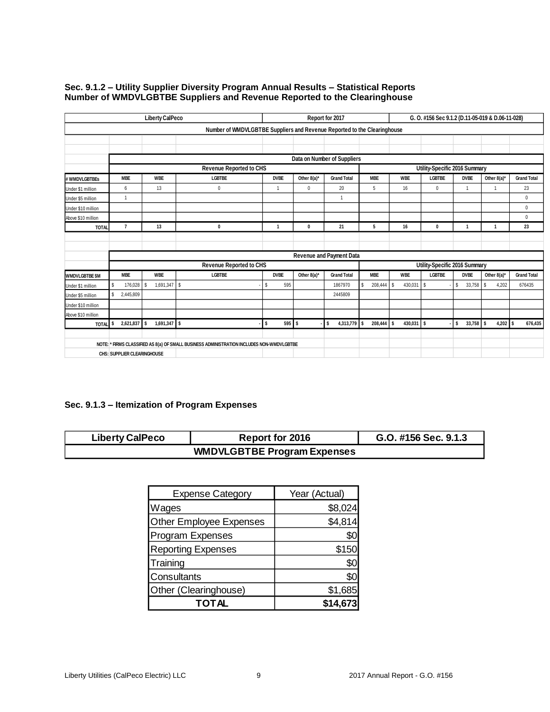|                                    |                | <b>Liberty CalPeco</b>       |                                                                                           |                |             | Report for 2017             |                               |                     | G. O. #156 Sec 9.1.2 (D.11-05-019 & D.06-11-028) |                     |              |                    |  |
|------------------------------------|----------------|------------------------------|-------------------------------------------------------------------------------------------|----------------|-------------|-----------------------------|-------------------------------|---------------------|--------------------------------------------------|---------------------|--------------|--------------------|--|
|                                    |                |                              | Number of WMDVLGBTBE Suppliers and Revenue Reported to the Clearinghouse                  |                |             |                             |                               |                     |                                                  |                     |              |                    |  |
|                                    |                |                              |                                                                                           |                |             |                             |                               |                     |                                                  |                     |              |                    |  |
|                                    |                |                              |                                                                                           |                |             |                             |                               |                     |                                                  |                     |              |                    |  |
|                                    |                |                              |                                                                                           |                |             | Data on Number of Suppliers |                               |                     |                                                  |                     |              |                    |  |
|                                    |                |                              | <b>Revenue Reported to CHS</b>                                                            |                |             |                             |                               |                     | Utility-Specific 2016 Summary                    |                     |              |                    |  |
| # WMDVLGBTBEs                      | <b>MBE</b>     | <b>WBE</b>                   | <b>LGBTBE</b>                                                                             | <b>DVBE</b>    | Other 8(a)* | <b>Grand Total</b>          | <b>MBE</b>                    | <b>WBE</b>          | <b>LGBTBE</b>                                    | <b>DVBE</b>         | Other 8(a)*  | <b>Grand Total</b> |  |
| Under \$1 million                  | $6\phantom{1}$ | 13                           | $\mathbf 0$                                                                               | $\overline{1}$ | $\mathbf 0$ | 20                          | 5                             | 16                  | $\mathbf 0$                                      | 1                   |              | 23                 |  |
| Under \$5 million                  | $\overline{1}$ |                              |                                                                                           |                |             | $\overline{1}$              |                               |                     |                                                  |                     |              | $\mathbf 0$        |  |
| Under \$10 million                 |                |                              |                                                                                           |                |             |                             |                               |                     |                                                  |                     |              | $\mathbf 0$        |  |
| Above \$10 million                 |                |                              |                                                                                           |                |             |                             |                               |                     |                                                  |                     |              | $\Omega$           |  |
| <b>TOTAL</b>                       | $\overline{7}$ | 13                           | 0                                                                                         | 1              | 0           | 21                          | 5                             | 16                  | 0                                                | $\overline{1}$      | $\mathbf{1}$ | 23                 |  |
|                                    |                |                              |                                                                                           |                |             |                             |                               |                     |                                                  |                     |              |                    |  |
|                                    |                |                              |                                                                                           |                |             |                             |                               |                     |                                                  |                     |              |                    |  |
|                                    |                |                              |                                                                                           |                |             | Revenue and Payment Data    |                               |                     |                                                  |                     |              |                    |  |
|                                    |                |                              | <b>Revenue Reported to CHS</b>                                                            |                |             |                             | Utility-Specific 2016 Summary |                     |                                                  |                     |              |                    |  |
| <b>WMDVLGBTBE \$M</b>              | <b>MBE</b>     | <b>WBE</b>                   | <b>LGBTBE</b>                                                                             | <b>DVBE</b>    | Other 8(a)* | <b>Grand Total</b>          | <b>MBE</b>                    | <b>WBE</b>          | <b>LGBTBE</b>                                    | <b>DVBE</b>         | Other 8(a)*  | <b>Grand Total</b> |  |
| Under \$1 million                  | S<br>176.028   | 1,691,347 \$<br>$\mathbf{s}$ |                                                                                           | \$<br>595      |             | 1867970                     | 208,444<br>s                  | <b>S</b><br>430,031 | s                                                | \$<br>33,758        | s<br>4.202   | 676435             |  |
| Under \$5 million                  | S<br>2,445,809 |                              |                                                                                           |                |             | 2445809                     |                               |                     |                                                  |                     |              |                    |  |
| Under \$10 million                 |                |                              |                                                                                           |                |             |                             |                               |                     |                                                  |                     |              |                    |  |
| Above \$10 million                 |                |                              |                                                                                           |                |             |                             |                               |                     |                                                  |                     |              |                    |  |
| TOTAL <sup>S</sup>                 | 2,621,837 \$   | 1,691,347 \$                 |                                                                                           | 595S<br>\$     |             | 4,313,779 \$<br>s.          | 208,444                       | 430,031<br>l \$     | s                                                | l \$<br>$33,758$ \$ | $4,202$ \$   | 676,435            |  |
|                                    |                |                              |                                                                                           |                |             |                             |                               |                     |                                                  |                     |              |                    |  |
|                                    |                |                              | NOTE: * FIRMS CLASSIFIED AS 8(a) OF SMALL BUSINESS ADMINISTRATION INCLUDES NON-WMDVLGBTBE |                |             |                             |                               |                     |                                                  |                     |              |                    |  |
| <b>CHS: SUPPLIER CLEARINGHOUSE</b> |                |                              |                                                                                           |                |             |                             |                               |                     |                                                  |                     |              |                    |  |

#### **Sec. 9.1.2 – Utility Supplier Diversity Program Annual Results – Statistical Reports Number of WMDVLGBTBE Suppliers and Revenue Reported to the Clearinghouse**

# **Sec. 9.1.3 – Itemization of Program Expenses**

| <b>Liberty CalPeco</b>             | <b>Report for 2016</b> | G.O. #156 Sec. 9.1.3 |  |  |  |  |  |  |
|------------------------------------|------------------------|----------------------|--|--|--|--|--|--|
| <b>WMDVLGBTBE Program Expenses</b> |                        |                      |  |  |  |  |  |  |

| <b>Expense Category</b>   | Year (Actual) |
|---------------------------|---------------|
| Wages                     | \$8,024       |
| Other Employee Expenses   | \$4,814       |
| <b>Program Expenses</b>   | \$0           |
| <b>Reporting Expenses</b> | \$150         |
| Training                  | \$0           |
| Consultants               | \$0           |
| Other (Clearinghouse)     | \$1,685       |
| TOTAL                     | \$14,67       |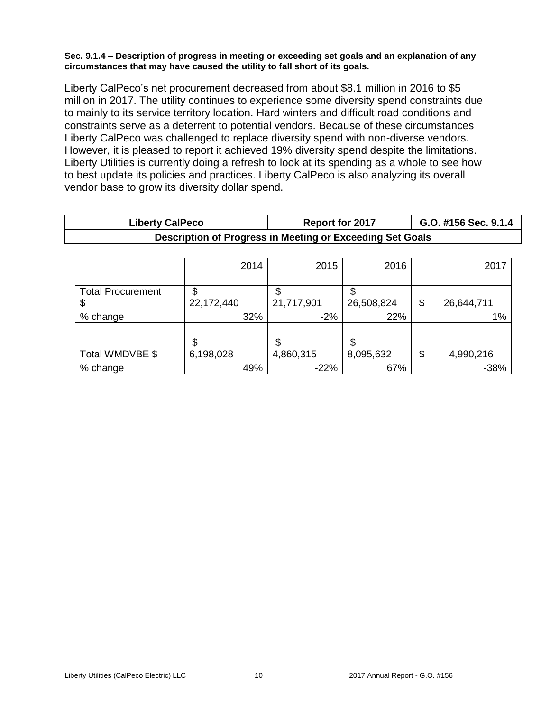### **Sec. 9.1.4 – Description of progress in meeting or exceeding set goals and an explanation of any circumstances that may have caused the utility to fall short of its goals.**

Liberty CalPeco's net procurement decreased from about \$8.1 million in 2016 to \$5 million in 2017. The utility continues to experience some diversity spend constraints due to mainly to its service territory location. Hard winters and difficult road conditions and constraints serve as a deterrent to potential vendors. Because of these circumstances Liberty CalPeco was challenged to replace diversity spend with non-diverse vendors. However, it is pleased to report it achieved 19% diversity spend despite the limitations. Liberty Utilities is currently doing a refresh to look at its spending as a whole to see how to best update its policies and practices. Liberty CalPeco is also analyzing its overall vendor base to grow its diversity dollar spend.

| <b>Liberty CalPeco</b>                                    | <b>Report for 2017</b> | G.O. #156 Sec. 9.1.4 |  |  |  |  |  |
|-----------------------------------------------------------|------------------------|----------------------|--|--|--|--|--|
| Description of Progress in Meeting or Exceeding Set Goals |                        |                      |  |  |  |  |  |
|                                                           |                        |                      |  |  |  |  |  |

|                          | 2014       | 2015       | 2016       | 2017             |
|--------------------------|------------|------------|------------|------------------|
|                          |            |            |            |                  |
| <b>Total Procurement</b> | \$         | Φ          |            |                  |
|                          | 22,172,440 | 21,717,901 | 26,508,824 | \$<br>26,644,711 |
| % change                 | 32%        | $-2%$      | 22%        | 1%               |
|                          |            |            |            |                  |
|                          | \$         | Φ          |            |                  |
| Total WMDVBE \$          | 6,198,028  | 4,860,315  | 8,095,632  | \$<br>4,990,216  |
| % change                 | 49%        | $-22%$     | 67%        | $-38%$           |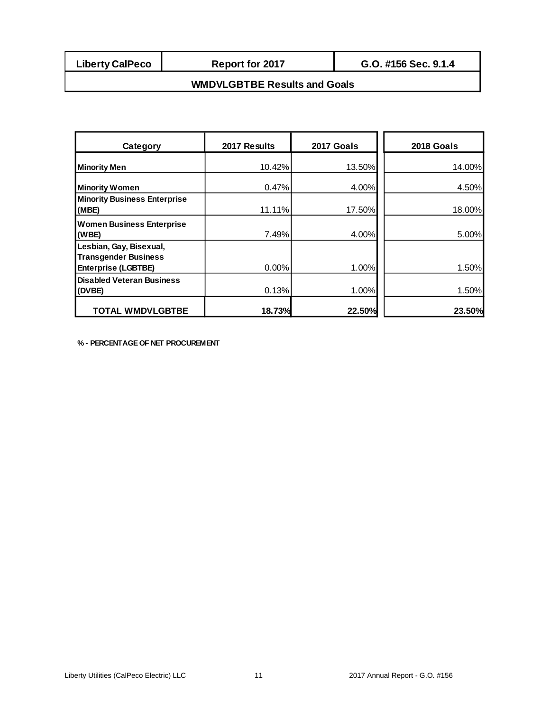**Report for 2017**

# **WMDVLGBTBE Results and Goals**

| Category                                                       | 2017 Results | 2017 Goals | 2018 Goals |
|----------------------------------------------------------------|--------------|------------|------------|
| <b>Minority Men</b>                                            | 10.42%       | 13.50%     | 14.00%     |
| <b>Minority Women</b>                                          | 0.47%        | 4.00%      | 4.50%      |
| <b>Minority Business Enterprise</b><br>(MBE)                   | 11.11%       | 17.50%     | 18.00%     |
| <b>Women Business Enterprise</b><br>(WBE)                      | 7.49%        | 4.00%      | 5.00%      |
| Lesbian, Gay, Bisexual,<br><b>Transgender Business</b>         | 0.00%        | 1.00%      | 1.50%      |
| <b>Enterprise (LGBTBE)</b><br><b>Disabled Veteran Business</b> |              |            |            |
| (DVBE)                                                         | 0.13%        | 1.00%      | 1.50%      |
| <b>TOTAL WMDVLGBTBE</b>                                        | 18.73%       | 22.50%     | 23.50%     |

**% - PERCENTAGE OF NET PROCUREMENT**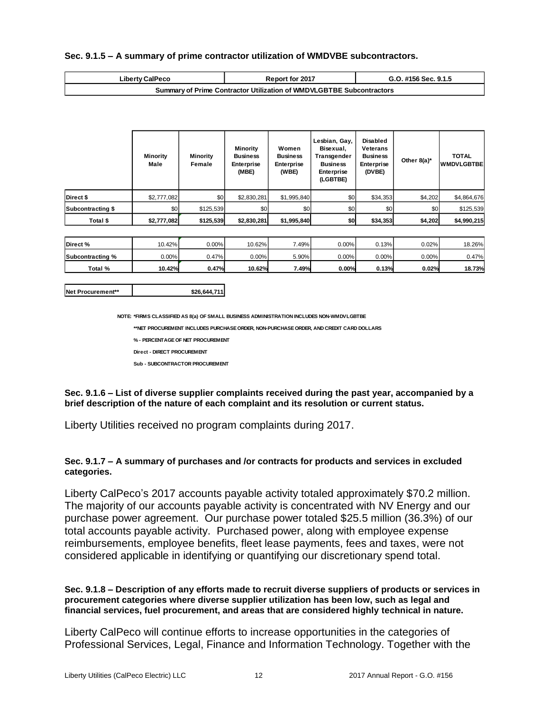#### **Sec. 9.1.5 – A summary of prime contractor utilization of WMDVBE subcontractors.**

| <b>Liberty CalPeco</b>                                                      | <b>Report for 2017</b> | G.O. #156 Sec. 9.1.5 |  |  |  |
|-----------------------------------------------------------------------------|------------------------|----------------------|--|--|--|
| <b>Summary of Prime Contractor Utilization of WMDVLGBTBE Subcontractors</b> |                        |                      |  |  |  |

| <b>Liberty CalPeco</b>                                                                                                                                                                                                                                                                                                                                                                                                                                                                                                           |                                 |                                                                      | Report for 2017                                                  |                                                 | G.O. #156 Sec. 9.1.5                                                                          |                                                                               |                |                                   |
|----------------------------------------------------------------------------------------------------------------------------------------------------------------------------------------------------------------------------------------------------------------------------------------------------------------------------------------------------------------------------------------------------------------------------------------------------------------------------------------------------------------------------------|---------------------------------|----------------------------------------------------------------------|------------------------------------------------------------------|-------------------------------------------------|-----------------------------------------------------------------------------------------------|-------------------------------------------------------------------------------|----------------|-----------------------------------|
|                                                                                                                                                                                                                                                                                                                                                                                                                                                                                                                                  |                                 | Summary of Prime Contractor Utilization of WMDVLGBTBE Subcontractors |                                                                  |                                                 |                                                                                               |                                                                               |                |                                   |
|                                                                                                                                                                                                                                                                                                                                                                                                                                                                                                                                  |                                 |                                                                      |                                                                  |                                                 |                                                                                               |                                                                               |                |                                   |
|                                                                                                                                                                                                                                                                                                                                                                                                                                                                                                                                  | <b>Minority</b><br>Male         | <b>Minority</b><br>Female                                            | <b>Minority</b><br><b>Business</b><br><b>Enterprise</b><br>(MBE) | Women<br><b>Business</b><br>Enterprise<br>(WBE) | Lesbian, Gay,<br>Bisexual,<br>Transgender<br><b>Business</b><br><b>Enterprise</b><br>(LGBTBE) | <b>Disabled</b><br>Veterans<br><b>Business</b><br><b>Enterprise</b><br>(DVBE) | Other 8(a)*    | <b>TOTAL</b><br><b>WMDVLGBTBE</b> |
| Direct \$                                                                                                                                                                                                                                                                                                                                                                                                                                                                                                                        | \$2,777,082                     | \$0                                                                  | \$2,830,281                                                      | \$1,995,840                                     | \$0                                                                                           | \$34,353                                                                      | \$4,202        | \$4,864,676                       |
| Subcontracting \$                                                                                                                                                                                                                                                                                                                                                                                                                                                                                                                | \$0                             | \$125,539                                                            | \$0                                                              | \$0                                             | \$0                                                                                           | \$0                                                                           | \$0            | \$125,539                         |
| Total \$                                                                                                                                                                                                                                                                                                                                                                                                                                                                                                                         | \$2,777,082                     | \$125,539                                                            | \$2,830,281                                                      | \$1,995,840                                     | \$0                                                                                           | \$34,353                                                                      | \$4,202        | \$4,990,215                       |
|                                                                                                                                                                                                                                                                                                                                                                                                                                                                                                                                  |                                 |                                                                      |                                                                  |                                                 |                                                                                               |                                                                               |                |                                   |
| Direct%                                                                                                                                                                                                                                                                                                                                                                                                                                                                                                                          | 10.42%                          | 0.00%                                                                | 10.62%                                                           | 7.49%                                           | 0.00%                                                                                         | 0.13%                                                                         | 0.02%          | 18.26%                            |
| Subcontracting %<br>Total %                                                                                                                                                                                                                                                                                                                                                                                                                                                                                                      | 0.00%<br>10.42%                 | 0.47%<br>0.47%                                                       | 0.00%<br>10.62%                                                  | 5.90%<br>7.49%                                  | 0.00%<br>0.00%                                                                                | 0.00%<br>0.13%                                                                | 0.00%<br>0.02% | 0.47%<br>18.73%                   |
|                                                                                                                                                                                                                                                                                                                                                                                                                                                                                                                                  |                                 |                                                                      |                                                                  |                                                 |                                                                                               |                                                                               |                |                                   |
| Net Procurement**                                                                                                                                                                                                                                                                                                                                                                                                                                                                                                                |                                 | \$26,644,711                                                         |                                                                  |                                                 |                                                                                               |                                                                               |                |                                   |
| Sec. 9.1.6 - List of diverse supplier complaints received during the past year, accompanied by a<br>brief description of the nature of each complaint and its resolution or current status.<br>Liberty Utilities received no program complaints during 2017.<br>Sec. 9.1.7 - A summary of purchases and /or contracts for products and services in excluded<br>categories.                                                                                                                                                       | Sub - SUBCONTRACTOR PROCUREMENT |                                                                      |                                                                  |                                                 |                                                                                               |                                                                               |                |                                   |
| Liberty CalPeco's 2017 accounts payable activity totaled approximately \$70.2 million.<br>The majority of our accounts payable activity is concentrated with NV Energy and our<br>purchase power agreement. Our purchase power totaled \$25.5 million (36.3%) of our<br>total accounts payable activity. Purchased power, along with employee expense<br>reimbursements, employee benefits, fleet lease payments, fees and taxes, were not<br>considered applicable in identifying or quantifying our discretionary spend total. |                                 |                                                                      |                                                                  |                                                 |                                                                                               |                                                                               |                |                                   |
| Sec. 9.1.8 - Description of any efforts made to recruit diverse suppliers of products or services in<br>procurement categories where diverse supplier utilization has been low, such as legal and<br>financial services, fuel procurement, and areas that are considered highly technical in nature.                                                                                                                                                                                                                             |                                 |                                                                      |                                                                  |                                                 |                                                                                               |                                                                               |                |                                   |
| Liberty CalPeco will continue efforts to increase opportunities in the categories of<br>Professional Services, Legal, Finance and Information Technology. Together with the                                                                                                                                                                                                                                                                                                                                                      |                                 |                                                                      |                                                                  |                                                 |                                                                                               |                                                                               |                |                                   |

| Direct %         | $10.42\%$ | $0.00\%$ | 10.62% | .49%  | $0.00\%$ | 0.13%    | 0.02%    | 18.26%1       |
|------------------|-----------|----------|--------|-------|----------|----------|----------|---------------|
| Subcontracting % | $0.00\%$  | 0.47%    | 0.00%  | 5.90% | $0.00\%$ | $0.00\%$ | $0.00\%$ | 0.47%         |
| Total %          | 10.42%    | 0.47%    | 10.62% | 7.49% | 0.00%    | 0.13%    | 0.02%    | <b>18.73%</b> |

| Net Procurement** | \$26,644,711 |
|-------------------|--------------|
|                   |              |

### **Sec. 9.1.7 – A summary of purchases and /or contracts for products and services in excluded categories.**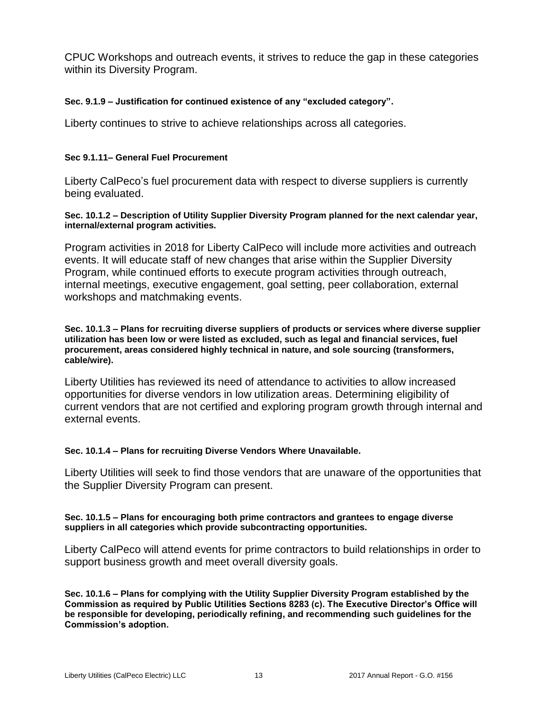CPUC Workshops and outreach events, it strives to reduce the gap in these categories within its Diversity Program.

## **Sec. 9.1.9 – Justification for continued existence of any "excluded category".**

Liberty continues to strive to achieve relationships across all categories.

## **Sec 9.1.11– General Fuel Procurement**

Liberty CalPeco's fuel procurement data with respect to diverse suppliers is currently being evaluated.

### **Sec. 10.1.2 – Description of Utility Supplier Diversity Program planned for the next calendar year, internal/external program activities.**

Program activities in 2018 for Liberty CalPeco will include more activities and outreach events. It will educate staff of new changes that arise within the Supplier Diversity Program, while continued efforts to execute program activities through outreach, internal meetings, executive engagement, goal setting, peer collaboration, external workshops and matchmaking events.

#### **Sec. 10.1.3 – Plans for recruiting diverse suppliers of products or services where diverse supplier utilization has been low or were listed as excluded, such as legal and financial services, fuel procurement, areas considered highly technical in nature, and sole sourcing (transformers, cable/wire).**

Liberty Utilities has reviewed its need of attendance to activities to allow increased opportunities for diverse vendors in low utilization areas. Determining eligibility of current vendors that are not certified and exploring program growth through internal and external events.

### **Sec. 10.1.4 – Plans for recruiting Diverse Vendors Where Unavailable.**

Liberty Utilities will seek to find those vendors that are unaware of the opportunities that the Supplier Diversity Program can present.

### **Sec. 10.1.5 – Plans for encouraging both prime contractors and grantees to engage diverse suppliers in all categories which provide subcontracting opportunities.**

Liberty CalPeco will attend events for prime contractors to build relationships in order to support business growth and meet overall diversity goals.

**Sec. 10.1.6 – Plans for complying with the Utility Supplier Diversity Program established by the Commission as required by Public Utilities Sections 8283 (c). The Executive Director's Office will be responsible for developing, periodically refining, and recommending such guidelines for the Commission's adoption.**